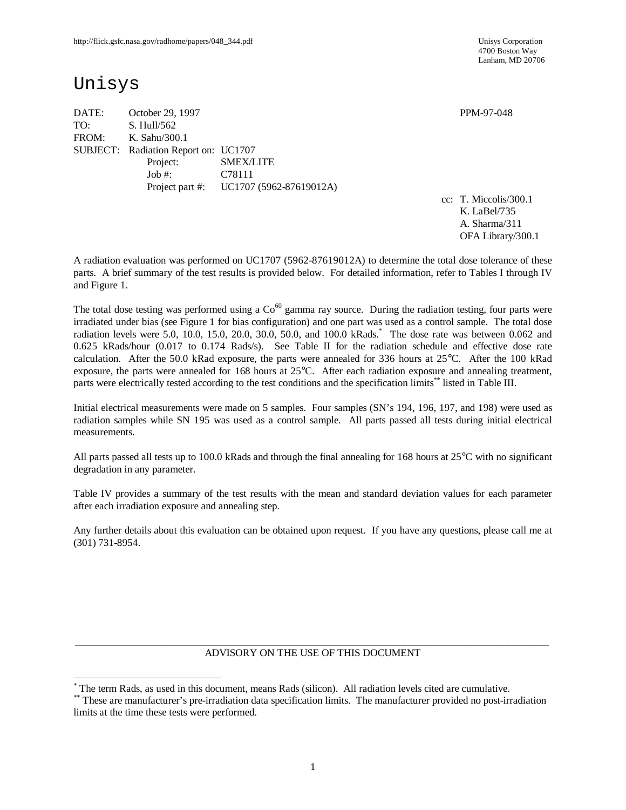4700 Boston Way Lanham, MD 20706

# Unisys

-

DATE: October 29, 1997 PPM-97-048 TO: S. Hull/562 FROM: K. Sahu/300.1 SUBJECT: Radiation Report on: UC1707 Project: SMEX/LITE Job #: C78111 Project part #: UC1707 (5962-87619012A)

cc: T. Miccolis/300.1 K. LaBel/735 A. Sharma/311 OFA Library/300.1

A radiation evaluation was performed on UC1707 (5962-87619012A) to determine the total dose tolerance of these parts. A brief summary of the test results is provided below. For detailed information, refer to Tables I through IV and Figure 1.

The total dose testing was performed using a  $Co<sup>60</sup>$  gamma ray source. During the radiation testing, four parts were irradiated under bias (see Figure 1 for bias configuration) and one part was used as a control sample. The total dose radiation levels were 5.0, 10.0, 15.0, 20.0, 30.0, 50.0, and 100.0 kRads.\* The dose rate was between 0.062 and 0.625 kRads/hour (0.017 to 0.174 Rads/s). See Table II for the radiation schedule and effective dose rate calculation. After the 50.0 kRad exposure, the parts were annealed for 336 hours at 25°C. After the 100 kRad exposure, the parts were annealed for 168 hours at 25°C. After each radiation exposure and annealing treatment, parts were electrically tested according to the test conditions and the specification limits\*\* listed in Table III.

Initial electrical measurements were made on 5 samples. Four samples (SN's 194, 196, 197, and 198) were used as radiation samples while SN 195 was used as a control sample. All parts passed all tests during initial electrical measurements.

All parts passed all tests up to 100.0 kRads and through the final annealing for 168 hours at  $25^{\circ}$ C with no significant degradation in any parameter.

Table IV provides a summary of the test results with the mean and standard deviation values for each parameter after each irradiation exposure and annealing step.

Any further details about this evaluation can be obtained upon request. If you have any questions, please call me at (301) 731-8954.

#### $\_$  ,  $\_$  ,  $\_$  ,  $\_$  ,  $\_$  ,  $\_$  ,  $\_$  ,  $\_$  ,  $\_$  ,  $\_$  ,  $\_$  ,  $\_$  ,  $\_$  ,  $\_$  ,  $\_$  ,  $\_$  ,  $\_$  ,  $\_$  ,  $\_$  ,  $\_$  ,  $\_$  ,  $\_$  ,  $\_$  ,  $\_$  ,  $\_$  ,  $\_$  ,  $\_$  ,  $\_$  ,  $\_$  ,  $\_$  ,  $\_$  ,  $\_$  ,  $\_$  ,  $\_$  ,  $\_$  ,  $\_$  ,  $\_$  , ADVISORY ON THE USE OF THIS DOCUMENT

<sup>\*</sup> The term Rads, as used in this document, means Rads (silicon). All radiation levels cited are cumulative.

<sup>\*\*</sup> These are manufacturer's pre-irradiation data specification limits. The manufacturer provided no post-irradiation limits at the time these tests were performed.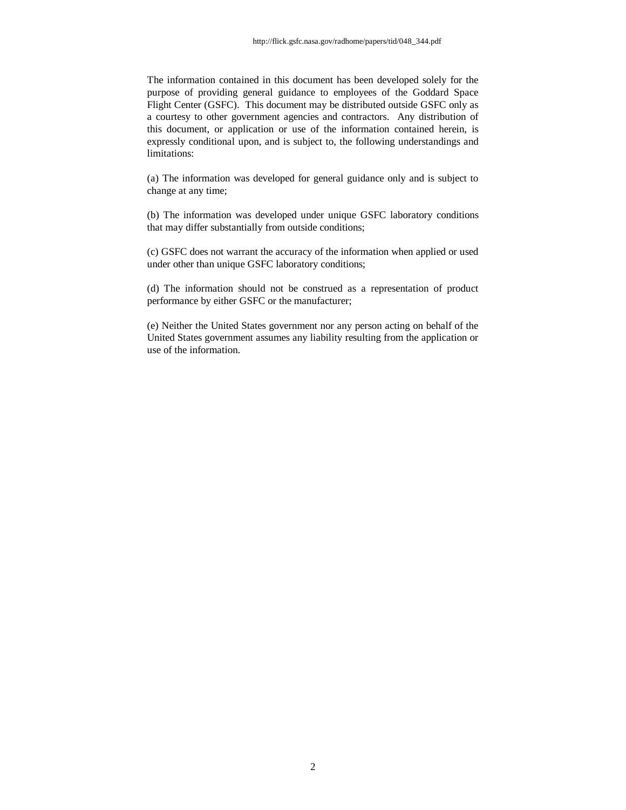The information contained in this document has been developed solely for the purpose of providing general guidance to employees of the Goddard Space Flight Center (GSFC). This document may be distributed outside GSFC only as a courtesy to other government agencies and contractors. Any distribution of this document, or application or use of the information contained herein, is expressly conditional upon, and is subject to, the following understandings and limitations:

(a) The information was developed for general guidance only and is subject to change at any time;

(b) The information was developed under unique GSFC laboratory conditions that may differ substantially from outside conditions;

(c) GSFC does not warrant the accuracy of the information when applied or used under other than unique GSFC laboratory conditions;

(d) The information should not be construed as a representation of product performance by either GSFC or the manufacturer;

(e) Neither the United States government nor any person acting on behalf of the United States government assumes any liability resulting from the application or use of the information.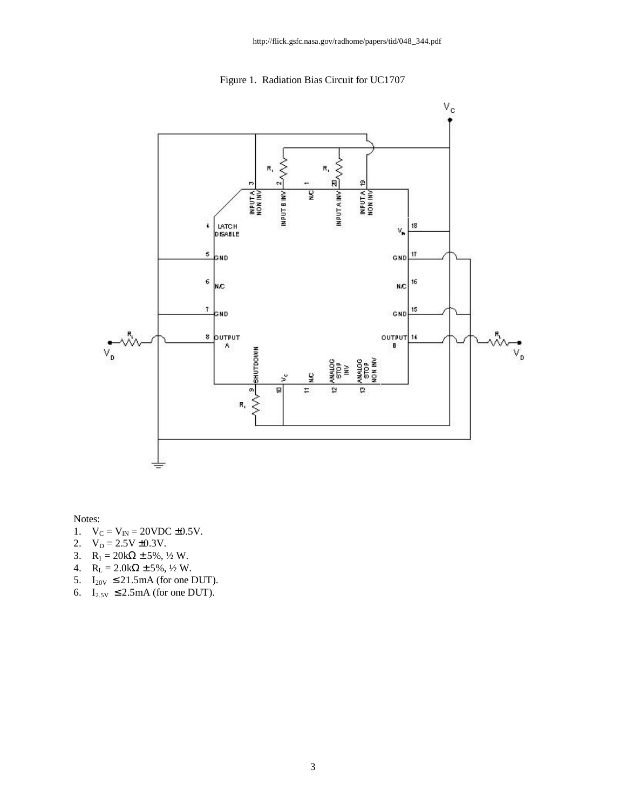Figure 1. Radiation Bias Circuit for UC1707



Notes:

- 1.  $V_C = V_{IN} = 20 VDC \pm 0.5 V$ .
- 2.  $V_D = 2.5V \pm 0.3V$ .
- 3.  $R_1 = 20k\Omega \pm 5\%, \frac{1}{2}W$ .
- 4.  $R_L = 2.0k\Omega \pm 5\%, \frac{1}{2}W$ .
- 5.  $I_{20V} \leq 21.5 \text{mA}$  (for one DUT).
- 6.  $I_{2.5V} \leq 2.5 \text{mA}$  (for one DUT).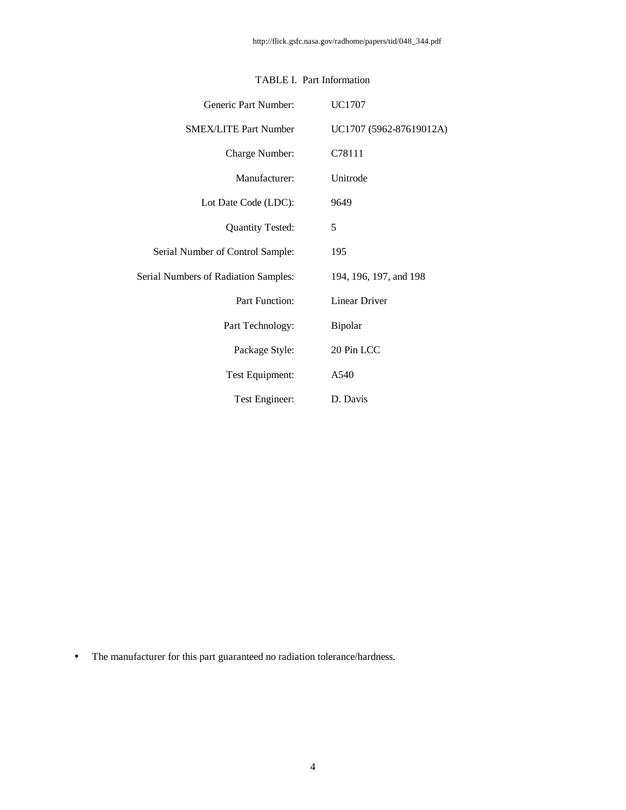| Generic Part Number:                        | <b>UC1707</b>           |
|---------------------------------------------|-------------------------|
| <b>SMEX/LITE Part Number</b>                | UC1707 (5962-87619012A) |
| Charge Number:                              | C78111                  |
| Manufacturer:                               | Unitrode                |
| Lot Date Code (LDC):                        | 9649                    |
| <b>Quantity Tested:</b>                     | 5                       |
| Serial Number of Control Sample:            | 195                     |
| <b>Serial Numbers of Radiation Samples:</b> | 194, 196, 197, and 198  |
| <b>Part Function:</b>                       | <b>Linear Driver</b>    |
| Part Technology:                            | Bipolar                 |
| Package Style:                              | 20 Pin LCC              |
| Test Equipment:                             | A540                    |
| Test Engineer:                              | D. Davis                |

## TABLE I. Part Information

• The manufacturer for this part guaranteed no radiation tolerance/hardness.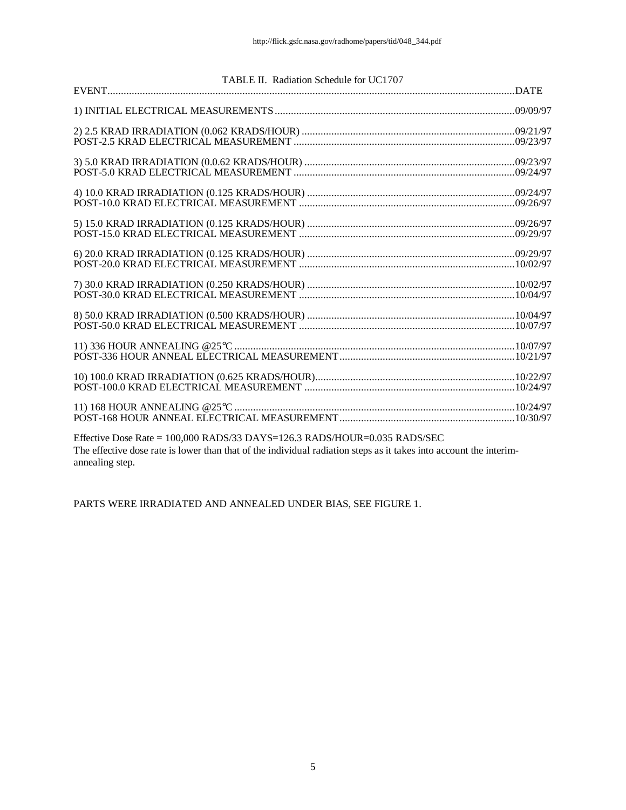| TABLE II. Radiation Schedule for UC1707                                   |  |
|---------------------------------------------------------------------------|--|
|                                                                           |  |
|                                                                           |  |
|                                                                           |  |
|                                                                           |  |
|                                                                           |  |
|                                                                           |  |
|                                                                           |  |
|                                                                           |  |
|                                                                           |  |
|                                                                           |  |
|                                                                           |  |
| Effective Dose Rate = 100 000 RADS/33 DAYS=126 3 RADS/HOUR=0 035 RADS/SEC |  |

Effective Dose Rate = 100,000 RADS/33 DAYS=126.3 RADS/HOUR=0.035 RADS/SEC The effective dose rate is lower than that of the individual radiation steps as it takes into account the interimannealing step.

PARTS WERE IRRADIATED AND ANNEALED UNDER BIAS, SEE FIGURE 1.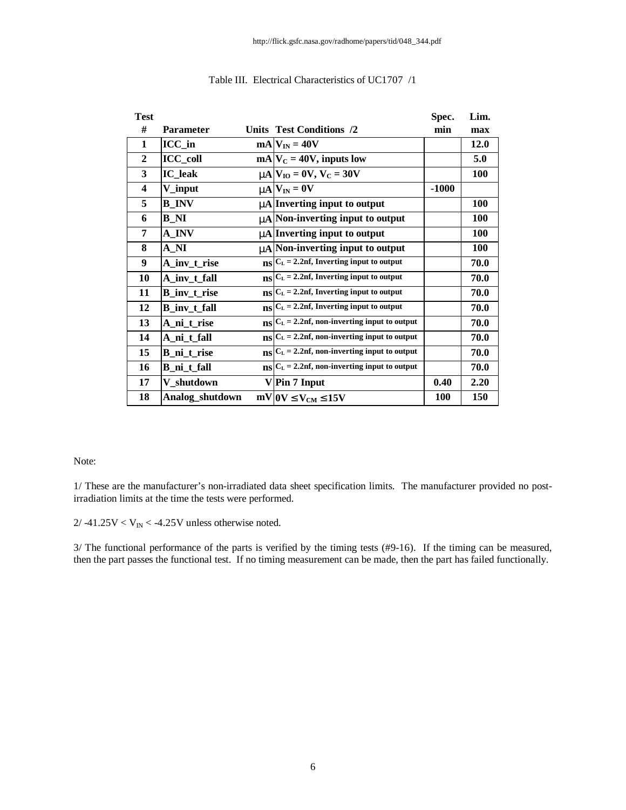| <b>Test</b>             |                     |     |                                                                     | Spec.      | Lim.       |
|-------------------------|---------------------|-----|---------------------------------------------------------------------|------------|------------|
| #                       | <b>Parameter</b>    |     | <b>Units Test Conditions /2</b>                                     | min        | max        |
| 1                       | $ICC_in$            |     | $mA$ $V_{IN} = 40V$                                                 |            | 12.0       |
| $\mathbf{2}$            | <b>ICC_coll</b>     |     | $mA V_C = 40V$ , inputs low                                         |            | 5.0        |
| 3                       | <b>IC_leak</b>      |     | $mN_{\rm IO}=0V, V_{\rm C}=30V$                                     |            | <b>100</b> |
| $\overline{\mathbf{4}}$ | V_input             |     | $mN = 0V$                                                           | $-1000$    |            |
| 5                       | <b>B_INV</b>        |     | <b>mA</b> Inverting input to output                                 |            | <b>100</b> |
| 6                       | <b>B</b> NI         |     | <b>mA</b> Non-inverting input to output                             |            | <b>100</b> |
| 7                       | A INV               |     | <b>mA</b> Inverting input to output                                 |            | 100        |
| 8                       | A NI                |     | <b>mA</b> Non-inverting input to output                             |            | <b>100</b> |
| 9                       | A_inv_t_rise        |     | $_{\text{BS}} C_{\text{L}}=2.2$ nf, Inverting input to output       |            | 70.0       |
| 10                      | A_inv_t_fall        |     | $_{\text{NS}} C_{\text{L}}=2.2$ nf, Inverting input to output       |            | 70.0       |
| 11                      | <b>B_inv_t_rise</b> |     | $_{\text{BS}} C_{\text{L}}=2.2$ nf, Inverting input to output       |            | 70.0       |
| 12                      | <b>B_inv_t_fall</b> |     | $_{\text{BS}} C_{\text{L}}=2.2$ nf, Inverting input to output       |            | 70.0       |
| 13                      | A ni t rise         |     | $_{\text{BS}} C_{\text{L}}=2.2$ nf, non-inverting input to output   |            | 70.0       |
| 14                      | A_ni_t_fall         |     | $_{\text{NS}} C_{\text{L}}=2.2$ nf, non-inverting input to output   |            | 70.0       |
| 15                      | B_ni_t_rise         | nsl | $C_L = 2.2$ nf, non-inverting input to output                       |            | 70.0       |
| 16                      | B_ni_t_fall         |     | $_{\text{NS}} C_{\text{L}} = 2.2$ nf, non-inverting input to output |            | 70.0       |
| 17                      | V shutdown          |     | V Pin 7 Input                                                       | 0.40       | 2.20       |
| 18                      | Analog_shutdown     |     | $mV$ (OV £ $V_{CM}$ £15V                                            | <b>100</b> | <b>150</b> |

#### Table III. Electrical Characteristics of UC1707 /1

## Note:

1/ These are the manufacturer's non-irradiated data sheet specification limits. The manufacturer provided no postirradiation limits at the time the tests were performed.

 $2/ -41.25V < V_{\text{IN}} < -4.25V$  unless otherwise noted.

3/ The functional performance of the parts is verified by the timing tests (#9-16). If the timing can be measured, then the part passes the functional test. If no timing measurement can be made, then the part has failed functionally.